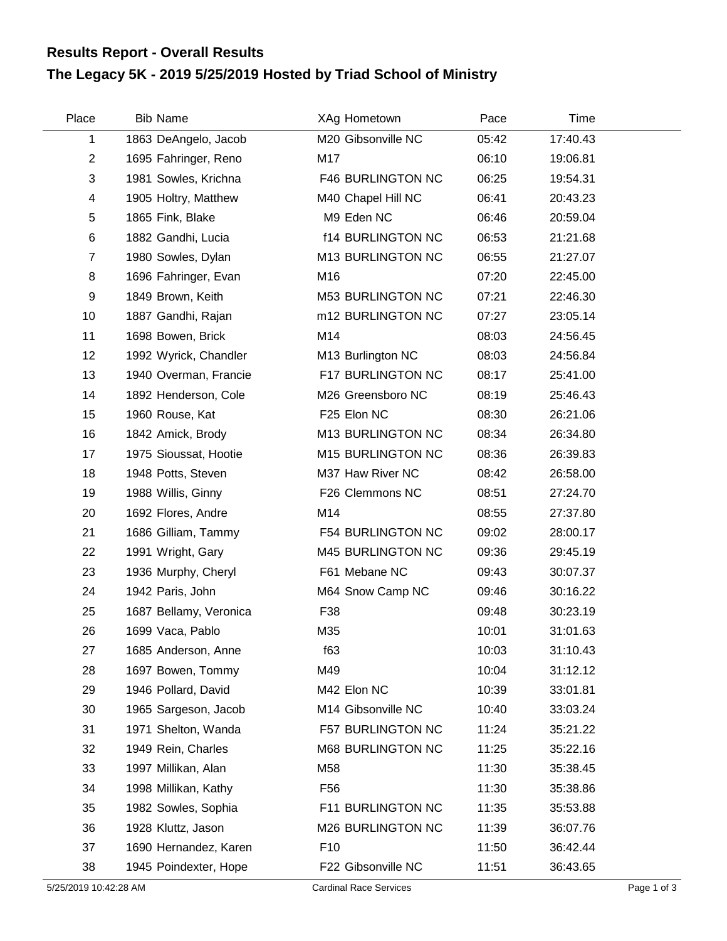## **The Legacy 5K - 2019 5/25/2019 Hosted by Triad School of Ministry Results Report - Overall Results**

| Place                   | <b>Bib Name</b>        | XAg Hometown             | Pace  | Time     |  |
|-------------------------|------------------------|--------------------------|-------|----------|--|
| 1                       | 1863 DeAngelo, Jacob   | M20 Gibsonville NC       | 05:42 | 17:40.43 |  |
| $\overline{2}$          | 1695 Fahringer, Reno   | M17                      | 06:10 | 19:06.81 |  |
| 3                       | 1981 Sowles, Krichna   | F46 BURLINGTON NC        | 06:25 | 19:54.31 |  |
| $\overline{\mathbf{4}}$ | 1905 Holtry, Matthew   | M40 Chapel Hill NC       | 06:41 | 20:43.23 |  |
| 5                       | 1865 Fink, Blake       | M9 Eden NC               | 06:46 | 20:59.04 |  |
| $\,6$                   | 1882 Gandhi, Lucia     | <b>f14 BURLINGTON NC</b> | 06:53 | 21:21.68 |  |
| $\overline{7}$          | 1980 Sowles, Dylan     | M13 BURLINGTON NC        | 06:55 | 21:27.07 |  |
| 8                       | 1696 Fahringer, Evan   | M16                      | 07:20 | 22:45.00 |  |
| 9                       | 1849 Brown, Keith      | M53 BURLINGTON NC        | 07:21 | 22:46.30 |  |
| 10                      | 1887 Gandhi, Rajan     | m12 BURLINGTON NC        | 07:27 | 23:05.14 |  |
| 11                      | 1698 Bowen, Brick      | M14                      | 08:03 | 24:56.45 |  |
| 12                      | 1992 Wyrick, Chandler  | M13 Burlington NC        | 08:03 | 24:56.84 |  |
| 13                      | 1940 Overman, Francie  | F17 BURLINGTON NC        | 08:17 | 25:41.00 |  |
| 14                      | 1892 Henderson, Cole   | M26 Greensboro NC        | 08:19 | 25:46.43 |  |
| 15                      | 1960 Rouse, Kat        | F25 Elon NC              | 08:30 | 26:21.06 |  |
| 16                      | 1842 Amick, Brody      | M13 BURLINGTON NC        | 08:34 | 26:34.80 |  |
| 17                      | 1975 Sioussat, Hootie  | M15 BURLINGTON NC        | 08:36 | 26:39.83 |  |
| 18                      | 1948 Potts, Steven     | M37 Haw River NC         | 08:42 | 26:58.00 |  |
| 19                      | 1988 Willis, Ginny     | F26 Clemmons NC          | 08:51 | 27:24.70 |  |
| 20                      | 1692 Flores, Andre     | M14                      | 08:55 | 27:37.80 |  |
| 21                      | 1686 Gilliam, Tammy    | F54 BURLINGTON NC        | 09:02 | 28:00.17 |  |
| 22                      | 1991 Wright, Gary      | M45 BURLINGTON NC        | 09:36 | 29:45.19 |  |
| 23                      | 1936 Murphy, Cheryl    | F61 Mebane NC            | 09:43 | 30:07.37 |  |
| 24                      | 1942 Paris, John       | M64 Snow Camp NC         | 09:46 | 30:16.22 |  |
| 25                      | 1687 Bellamy, Veronica | F38                      | 09:48 | 30:23.19 |  |
| 26                      | 1699 Vaca, Pablo       | M35                      | 10:01 | 31:01.63 |  |
| 27                      | 1685 Anderson, Anne    | f63                      | 10:03 | 31:10.43 |  |
| 28                      | 1697 Bowen, Tommy      | M49                      | 10:04 | 31:12.12 |  |
| 29                      | 1946 Pollard, David    | M42 Elon NC              | 10:39 | 33:01.81 |  |
| 30                      | 1965 Sargeson, Jacob   | M14 Gibsonville NC       | 10:40 | 33:03.24 |  |
| 31                      | 1971 Shelton, Wanda    | F57 BURLINGTON NC        | 11:24 | 35:21.22 |  |
| 32                      | 1949 Rein, Charles     | M68 BURLINGTON NC        | 11:25 | 35:22.16 |  |
| 33                      | 1997 Millikan, Alan    | M58                      | 11:30 | 35:38.45 |  |
| 34                      | 1998 Millikan, Kathy   | F <sub>56</sub>          | 11:30 | 35:38.86 |  |
| 35                      | 1982 Sowles, Sophia    | F11 BURLINGTON NC        | 11:35 | 35:53.88 |  |
| 36                      | 1928 Kluttz, Jason     | M26 BURLINGTON NC        | 11:39 | 36:07.76 |  |
| 37                      | 1690 Hernandez, Karen  | F <sub>10</sub>          | 11:50 | 36:42.44 |  |
| 38                      | 1945 Poindexter, Hope  | F22 Gibsonville NC       | 11:51 | 36:43.65 |  |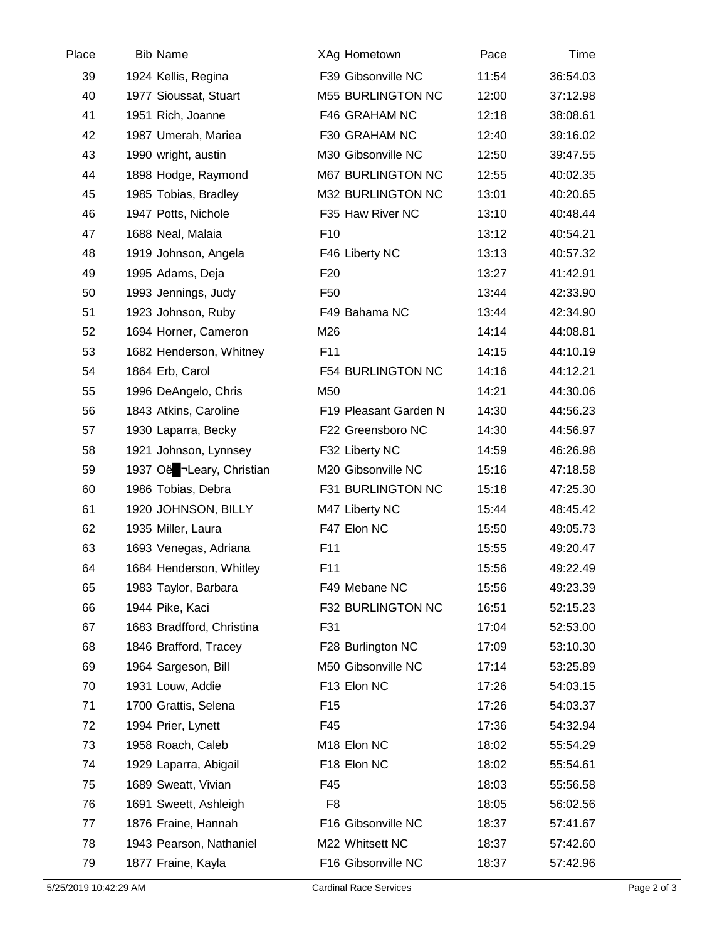| Place | <b>Bib Name</b>           |                 | XAg Hometown             | Pace  | Time     |  |
|-------|---------------------------|-----------------|--------------------------|-------|----------|--|
| 39    | 1924 Kellis, Regina       |                 | F39 Gibsonville NC       | 11:54 | 36:54.03 |  |
| 40    | 1977 Sioussat, Stuart     |                 | <b>M55 BURLINGTON NC</b> | 12:00 | 37:12.98 |  |
| 41    | 1951 Rich, Joanne         |                 | F46 GRAHAM NC            | 12:18 | 38:08.61 |  |
| 42    | 1987 Umerah, Mariea       |                 | F30 GRAHAM NC            | 12:40 | 39:16.02 |  |
| 43    | 1990 wright, austin       |                 | M30 Gibsonville NC       | 12:50 | 39:47.55 |  |
| 44    | 1898 Hodge, Raymond       |                 | M67 BURLINGTON NC        | 12:55 | 40:02.35 |  |
| 45    | 1985 Tobias, Bradley      |                 | M32 BURLINGTON NC        | 13:01 | 40:20.65 |  |
| 46    | 1947 Potts, Nichole       |                 | F35 Haw River NC         | 13:10 | 40:48.44 |  |
| 47    | 1688 Neal, Malaia         | F <sub>10</sub> |                          | 13:12 | 40:54.21 |  |
| 48    | 1919 Johnson, Angela      |                 | F46 Liberty NC           | 13:13 | 40:57.32 |  |
| 49    | 1995 Adams, Deja          | F <sub>20</sub> |                          | 13:27 | 41:42.91 |  |
| 50    | 1993 Jennings, Judy       | F <sub>50</sub> |                          | 13:44 | 42:33.90 |  |
| 51    | 1923 Johnson, Ruby        |                 | F49 Bahama NC            | 13:44 | 42:34.90 |  |
| 52    | 1694 Horner, Cameron      | M26             |                          | 14:14 | 44:08.81 |  |
| 53    | 1682 Henderson, Whitney   | F11             |                          | 14:15 | 44:10.19 |  |
| 54    | 1864 Erb, Carol           |                 | <b>F54 BURLINGTON NC</b> | 14:16 | 44:12.21 |  |
| 55    | 1996 DeAngelo, Chris      | M50             |                          | 14:21 | 44:30.06 |  |
| 56    | 1843 Atkins, Caroline     |                 | F19 Pleasant Garden N    | 14:30 | 44:56.23 |  |
| 57    | 1930 Laparra, Becky       |                 | F22 Greensboro NC        | 14:30 | 44:56.97 |  |
| 58    | 1921 Johnson, Lynnsey     |                 | F32 Liberty NC           | 14:59 | 46:26.98 |  |
| 59    | 1937 Oë -Leary, Christian |                 | M20 Gibsonville NC       | 15:16 | 47:18.58 |  |
| 60    | 1986 Tobias, Debra        |                 | F31 BURLINGTON NC        | 15:18 | 47:25.30 |  |
| 61    | 1920 JOHNSON, BILLY       |                 | M47 Liberty NC           | 15:44 | 48:45.42 |  |
| 62    | 1935 Miller, Laura        |                 | F47 Elon NC              | 15:50 | 49:05.73 |  |
| 63    | 1693 Venegas, Adriana     | F11             |                          | 15:55 | 49:20.47 |  |
| 64    | 1684 Henderson, Whitley   | F11             |                          | 15:56 | 49:22.49 |  |
| 65    | 1983 Taylor, Barbara      |                 | F49 Mebane NC            | 15:56 | 49:23.39 |  |
| 66    | 1944 Pike, Kaci           |                 | F32 BURLINGTON NC        | 16:51 | 52:15.23 |  |
| 67    | 1683 Bradfford, Christina | F31             |                          | 17:04 | 52:53.00 |  |
| 68    | 1846 Brafford, Tracey     |                 | F28 Burlington NC        | 17:09 | 53:10.30 |  |
| 69    | 1964 Sargeson, Bill       |                 | M50 Gibsonville NC       | 17:14 | 53:25.89 |  |
| 70    | 1931 Louw, Addie          |                 | F13 Elon NC              | 17:26 | 54:03.15 |  |
| 71    | 1700 Grattis, Selena      | F <sub>15</sub> |                          | 17:26 | 54:03.37 |  |
| 72    | 1994 Prier, Lynett        | F45             |                          | 17:36 | 54:32.94 |  |
| 73    | 1958 Roach, Caleb         |                 | M18 Elon NC              | 18:02 | 55:54.29 |  |
| 74    | 1929 Laparra, Abigail     |                 | F18 Elon NC              | 18:02 | 55:54.61 |  |
| 75    | 1689 Sweatt, Vivian       | F45             |                          | 18:03 | 55:56.58 |  |
| 76    | 1691 Sweett, Ashleigh     | F <sub>8</sub>  |                          | 18:05 | 56:02.56 |  |
| 77    | 1876 Fraine, Hannah       |                 | F16 Gibsonville NC       | 18:37 | 57:41.67 |  |
| 78    | 1943 Pearson, Nathaniel   |                 | M22 Whitsett NC          | 18:37 | 57:42.60 |  |
| 79    | 1877 Fraine, Kayla        |                 | F16 Gibsonville NC       | 18:37 | 57:42.96 |  |